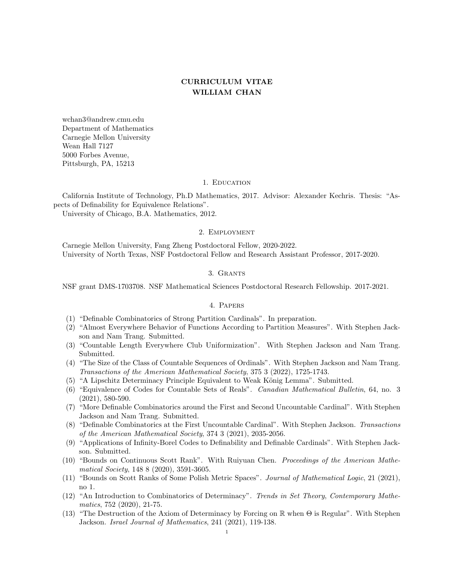# CURRICULUM VITAE WILLIAM CHAN

wchan3@andrew.cmu.edu Department of Mathematics Carnegie Mellon University Wean Hall 7127 5000 Forbes Avenue, Pittsburgh, PA, 15213

## 1. EDUCATION

California Institute of Technology, Ph.D Mathematics, 2017. Advisor: Alexander Kechris. Thesis: "Aspects of Definability for Equivalence Relations".

University of Chicago, B.A. Mathematics, 2012.

#### 2. Employment

Carnegie Mellon University, Fang Zheng Postdoctoral Fellow, 2020-2022. University of North Texas, NSF Postdoctoral Fellow and Research Assistant Professor, 2017-2020.

## 3. Grants

NSF grant DMS-1703708. NSF Mathematical Sciences Postdoctoral Research Fellowship. 2017-2021.

## 4. Papers

- (1) "Definable Combinatorics of Strong Partition Cardinals". In preparation.
- (2) "Almost Everywhere Behavior of Functions According to Partition Measures". With Stephen Jackson and Nam Trang. Submitted.
- (3) "Countable Length Everywhere Club Uniformization". With Stephen Jackson and Nam Trang. Submitted.
- (4) "The Size of the Class of Countable Sequences of Ordinals". With Stephen Jackson and Nam Trang. Transactions of the American Mathematical Society, 375 3 (2022), 1725-1743.
- (5) "A Lipschitz Determinacy Principle Equivalent to Weak König Lemma". Submitted.
- (6) "Equivalence of Codes for Countable Sets of Reals". Canadian Mathematical Bulletin, 64, no. 3 (2021), 580-590.
- (7) "More Definable Combinatorics around the First and Second Uncountable Cardinal". With Stephen Jackson and Nam Trang. Submitted.
- (8) "Definable Combinatorics at the First Uncountable Cardinal". With Stephen Jackson. Transactions of the American Mathematical Society, 374 3 (2021), 2035-2056.
- (9) "Applications of Infinity-Borel Codes to Definability and Definable Cardinals". With Stephen Jackson. Submitted.
- (10) "Bounds on Continuous Scott Rank". With Ruiyuan Chen. Proceedings of the American Mathematical Society, 148 8 (2020), 3591-3605.
- (11) "Bounds on Scott Ranks of Some Polish Metric Spaces". Journal of Mathematical Logic, 21 (2021), no 1.
- (12) "An Introduction to Combinatorics of Determinacy". Trends in Set Theory, Contemporary Mathematics, 752 (2020), 21-75.
- (13) "The Destruction of the Axiom of Determinacy by Forcing on R when Θ is Regular". With Stephen Jackson. Israel Journal of Mathematics, 241 (2021), 119-138.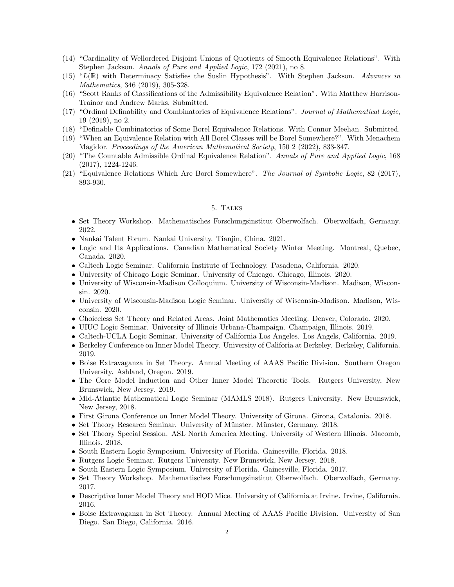- (14) "Cardinality of Wellordered Disjoint Unions of Quotients of Smooth Equivalence Relations". With Stephen Jackson. Annals of Pure and Applied Logic, 172 (2021), no 8.
- $(15)$  "L(R) with Determinacy Satisfies the Suslin Hypothesis". With Stephen Jackson. Advances in Mathematics, 346 (2019), 305-328.
- (16) "Scott Ranks of Classifications of the Admissibility Equivalence Relation". With Matthew Harrison-Trainor and Andrew Marks. Submitted.
- (17) "Ordinal Definability and Combinatorics of Equivalence Relations". Journal of Mathematical Logic, 19 (2019), no 2.
- (18) "Definable Combinatorics of Some Borel Equivalence Relations. With Connor Meehan. Submitted.
- (19) "When an Equivalence Relation with All Borel Classes will be Borel Somewhere?". With Menachem Magidor. Proceedings of the American Mathematical Society, 150 2 (2022), 833-847.
- (20) "The Countable Admissible Ordinal Equivalence Relation". Annals of Pure and Applied Logic, 168 (2017), 1224-1246.
- (21) "Equivalence Relations Which Are Borel Somewhere". The Journal of Symbolic Logic, 82 (2017), 893-930.

## 5. Talks

- Set Theory Workshop. Mathematisches Forschungsinstitut Oberwolfach. Oberwolfach, Germany. 2022.
- Nankai Talent Forum. Nankai University. Tianjin, China. 2021.
- Logic and Its Applications. Canadian Mathematical Society Winter Meeting. Montreal, Quebec, Canada. 2020.
- Caltech Logic Seminar. California Institute of Technology. Pasadena, California. 2020.
- University of Chicago Logic Seminar. University of Chicago. Chicago, Illinois. 2020.
- University of Wisconsin-Madison Colloquium. University of Wisconsin-Madison. Madison, Wisconsin. 2020.
- University of Wisconsin-Madison Logic Seminar. University of Wisconsin-Madison. Madison, Wisconsin. 2020.
- Choiceless Set Theory and Related Areas. Joint Mathematics Meeting. Denver, Colorado. 2020.
- UIUC Logic Seminar. University of Illinois Urbana-Champaign. Champaign, Illinois. 2019.
- Caltech-UCLA Logic Seminar. University of California Los Angeles. Los Angels, California. 2019.
- Berkeley Conference on Inner Model Theory. University of Califoria at Berkeley. Berkeley, California. 2019.
- Boise Extravaganza in Set Theory. Annual Meeting of AAAS Pacific Division. Southern Oregon University. Ashland, Oregon. 2019.
- The Core Model Induction and Other Inner Model Theoretic Tools. Rutgers University, New Brunswick, New Jersey. 2019.
- Mid-Atlantic Mathematical Logic Seminar (MAMLS 2018). Rutgers University. New Brunswick, New Jersey, 2018.
- First Girona Conference on Inner Model Theory. University of Girona. Girona, Catalonia. 2018.
- Set Theory Research Seminar. University of Münster. Münster, Germany. 2018.
- Set Theory Special Session. ASL North America Meeting. University of Western Illinois. Macomb, Illinois. 2018.
- South Eastern Logic Symposium. University of Florida. Gainesville, Florida. 2018.
- Rutgers Logic Seminar. Rutgers University. New Brunswick, New Jersey. 2018.
- South Eastern Logic Symposium. University of Florida. Gainesville, Florida. 2017.
- Set Theory Workshop. Mathematisches Forschungsinstitut Oberwolfach. Oberwolfach, Germany. 2017.
- Descriptive Inner Model Theory and HOD Mice. University of California at Irvine. Irvine, California. 2016.
- Boise Extravaganza in Set Theory. Annual Meeting of AAAS Pacific Division. University of San Diego. San Diego, California. 2016.